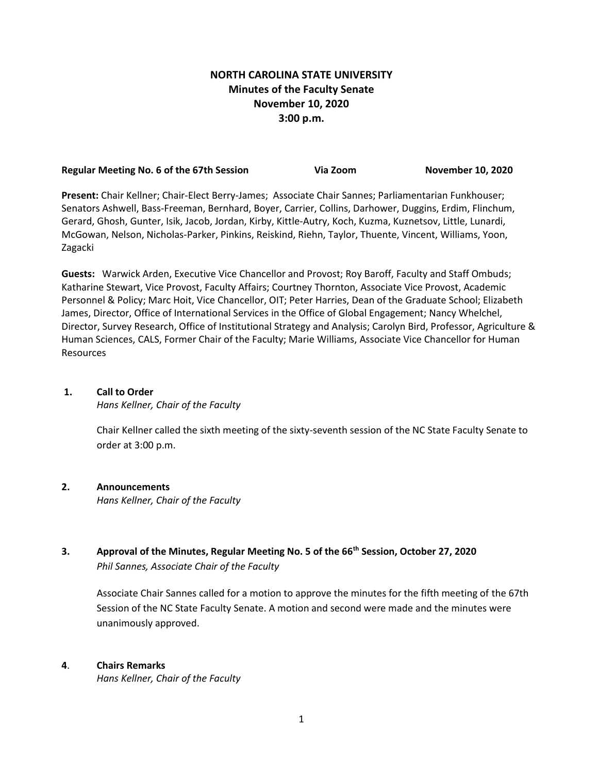# **NORTH CAROLINA STATE UNIVERSITY Minutes of the Faculty Senate November 10, 2020 3:00 p.m.**

| Regular Meeting No. 6 of the 67th Session | Via Zoom | <b>November 10, 2020</b> |
|-------------------------------------------|----------|--------------------------|
|                                           |          |                          |

**Present:** Chair Kellner; Chair-Elect Berry-James; Associate Chair Sannes; Parliamentarian Funkhouser; Senators Ashwell, Bass-Freeman, Bernhard, Boyer, Carrier, Collins, Darhower, Duggins, Erdim, Flinchum, Gerard, Ghosh, Gunter, Isik, Jacob, Jordan, Kirby, Kittle-Autry, Koch, Kuzma, Kuznetsov, Little, Lunardi, McGowan, Nelson, Nicholas-Parker, Pinkins, Reiskind, Riehn, Taylor, Thuente, Vincent, Williams, Yoon, Zagacki

**Guests:** Warwick Arden, Executive Vice Chancellor and Provost; Roy Baroff, Faculty and Staff Ombuds; Katharine Stewart, Vice Provost, Faculty Affairs; Courtney Thornton, Associate Vice Provost, Academic Personnel & Policy; Marc Hoit, Vice Chancellor, OIT; Peter Harries, Dean of the Graduate School; Elizabeth James, Director, Office of International Services in the Office of Global Engagement; Nancy Whelchel, Director, Survey Research, Office of Institutional Strategy and Analysis; Carolyn Bird, Professor, Agriculture & Human Sciences, CALS, Former Chair of the Faculty; Marie Williams, Associate Vice Chancellor for Human Resources

# **1. Call to Order**

*Hans Kellner, Chair of the Faculty*

Chair Kellner called the sixth meeting of the sixty-seventh session of the NC State Faculty Senate to order at 3:00 p.m.

# **2. Announcements**

*Hans Kellner, Chair of the Faculty*

**3. Approval of the Minutes, Regular Meeting No. 5 of the 66th Session, October 27, 2020** *Phil Sannes, Associate Chair of the Faculty*

Associate Chair Sannes called for a motion to approve the minutes for the fifth meeting of the 67th Session of the NC State Faculty Senate. A motion and second were made and the minutes were unanimously approved.

## **4**. **Chairs Remarks**

*Hans Kellner, Chair of the Faculty*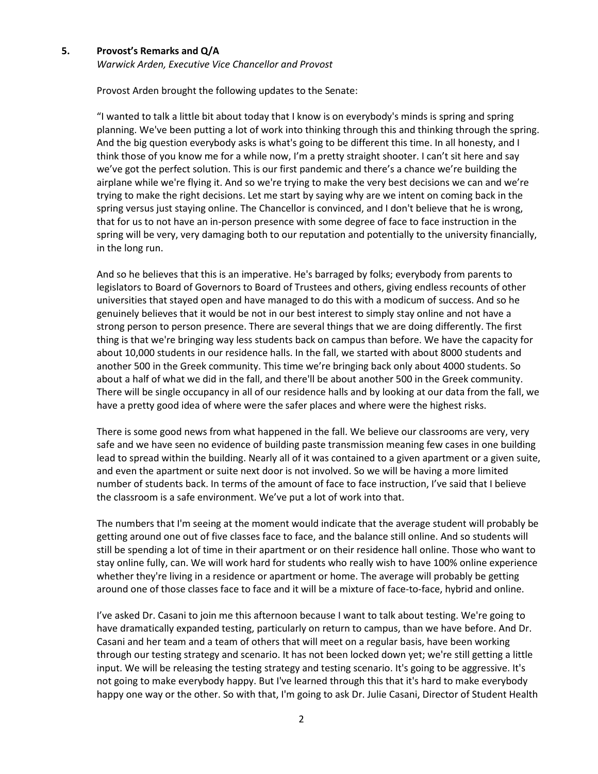#### **5. Provost's Remarks and Q/A**

*Warwick Arden, Executive Vice Chancellor and Provost*

Provost Arden brought the following updates to the Senate:

"I wanted to talk a little bit about today that I know is on everybody's minds is spring and spring planning. We've been putting a lot of work into thinking through this and thinking through the spring. And the big question everybody asks is what's going to be different this time. In all honesty, and I think those of you know me for a while now, I'm a pretty straight shooter. I can't sit here and say we've got the perfect solution. This is our first pandemic and there's a chance we're building the airplane while we're flying it. And so we're trying to make the very best decisions we can and we're trying to make the right decisions. Let me start by saying why are we intent on coming back in the spring versus just staying online. The Chancellor is convinced, and I don't believe that he is wrong, that for us to not have an in-person presence with some degree of face to face instruction in the spring will be very, very damaging both to our reputation and potentially to the university financially, in the long run.

And so he believes that this is an imperative. He's barraged by folks; everybody from parents to legislators to Board of Governors to Board of Trustees and others, giving endless recounts of other universities that stayed open and have managed to do this with a modicum of success. And so he genuinely believes that it would be not in our best interest to simply stay online and not have a strong person to person presence. There are several things that we are doing differently. The first thing is that we're bringing way less students back on campus than before. We have the capacity for about 10,000 students in our residence halls. In the fall, we started with about 8000 students and another 500 in the Greek community. This time we're bringing back only about 4000 students. So about a half of what we did in the fall, and there'll be about another 500 in the Greek community. There will be single occupancy in all of our residence halls and by looking at our data from the fall, we have a pretty good idea of where were the safer places and where were the highest risks.

There is some good news from what happened in the fall. We believe our classrooms are very, very safe and we have seen no evidence of building paste transmission meaning few cases in one building lead to spread within the building. Nearly all of it was contained to a given apartment or a given suite, and even the apartment or suite next door is not involved. So we will be having a more limited number of students back. In terms of the amount of face to face instruction, I've said that I believe the classroom is a safe environment. We've put a lot of work into that.

The numbers that I'm seeing at the moment would indicate that the average student will probably be getting around one out of five classes face to face, and the balance still online. And so students will still be spending a lot of time in their apartment or on their residence hall online. Those who want to stay online fully, can. We will work hard for students who really wish to have 100% online experience whether they're living in a residence or apartment or home. The average will probably be getting around one of those classes face to face and it will be a mixture of face-to-face, hybrid and online.

I've asked Dr. Casani to join me this afternoon because I want to talk about testing. We're going to have dramatically expanded testing, particularly on return to campus, than we have before. And Dr. Casani and her team and a team of others that will meet on a regular basis, have been working through our testing strategy and scenario. It has not been locked down yet; we're still getting a little input. We will be releasing the testing strategy and testing scenario. It's going to be aggressive. It's not going to make everybody happy. But I've learned through this that it's hard to make everybody happy one way or the other. So with that, I'm going to ask Dr. Julie Casani, Director of Student Health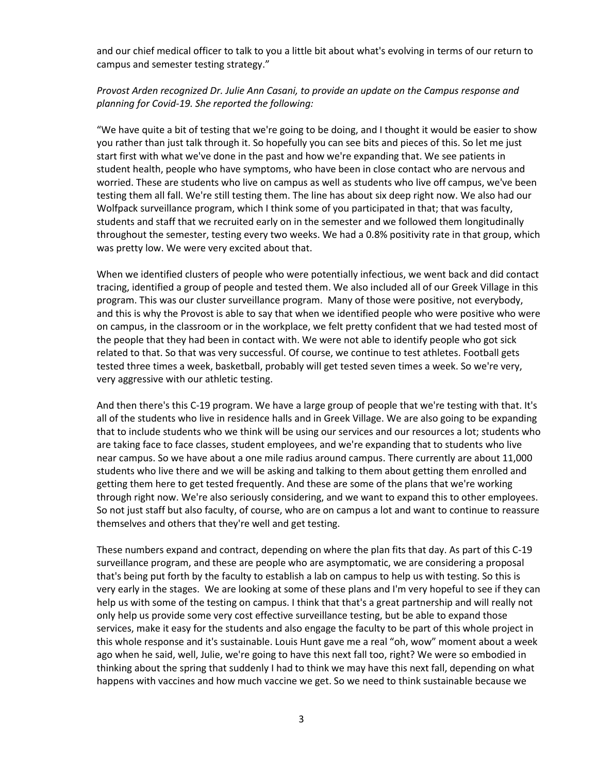and our chief medical officer to talk to you a little bit about what's evolving in terms of our return to campus and semester testing strategy."

# *Provost Arden recognized Dr. Julie Ann Casani, to provide an update on the Campus response and planning for Covid-19. She reported the following:*

"We have quite a bit of testing that we're going to be doing, and I thought it would be easier to show you rather than just talk through it. So hopefully you can see bits and pieces of this. So let me just start first with what we've done in the past and how we're expanding that. We see patients in student health, people who have symptoms, who have been in close contact who are nervous and worried. These are students who live on campus as well as students who live off campus, we've been testing them all fall. We're still testing them. The line has about six deep right now. We also had our Wolfpack surveillance program, which I think some of you participated in that; that was faculty, students and staff that we recruited early on in the semester and we followed them longitudinally throughout the semester, testing every two weeks. We had a 0.8% positivity rate in that group, which was pretty low. We were very excited about that.

When we identified clusters of people who were potentially infectious, we went back and did contact tracing, identified a group of people and tested them. We also included all of our Greek Village in this program. This was our cluster surveillance program. Many of those were positive, not everybody, and this is why the Provost is able to say that when we identified people who were positive who were on campus, in the classroom or in the workplace, we felt pretty confident that we had tested most of the people that they had been in contact with. We were not able to identify people who got sick related to that. So that was very successful. Of course, we continue to test athletes. Football gets tested three times a week, basketball, probably will get tested seven times a week. So we're very, very aggressive with our athletic testing.

And then there's this C-19 program. We have a large group of people that we're testing with that. It's all of the students who live in residence halls and in Greek Village. We are also going to be expanding that to include students who we think will be using our services and our resources a lot; students who are taking face to face classes, student employees, and we're expanding that to students who live near campus. So we have about a one mile radius around campus. There currently are about 11,000 students who live there and we will be asking and talking to them about getting them enrolled and getting them here to get tested frequently. And these are some of the plans that we're working through right now. We're also seriously considering, and we want to expand this to other employees. So not just staff but also faculty, of course, who are on campus a lot and want to continue to reassure themselves and others that they're well and get testing.

These numbers expand and contract, depending on where the plan fits that day. As part of this C-19 surveillance program, and these are people who are asymptomatic, we are considering a proposal that's being put forth by the faculty to establish a lab on campus to help us with testing. So this is very early in the stages. We are looking at some of these plans and I'm very hopeful to see if they can help us with some of the testing on campus. I think that that's a great partnership and will really not only help us provide some very cost effective surveillance testing, but be able to expand those services, make it easy for the students and also engage the faculty to be part of this whole project in this whole response and it's sustainable. Louis Hunt gave me a real "oh, wow" moment about a week ago when he said, well, Julie, we're going to have this next fall too, right? We were so embodied in thinking about the spring that suddenly I had to think we may have this next fall, depending on what happens with vaccines and how much vaccine we get. So we need to think sustainable because we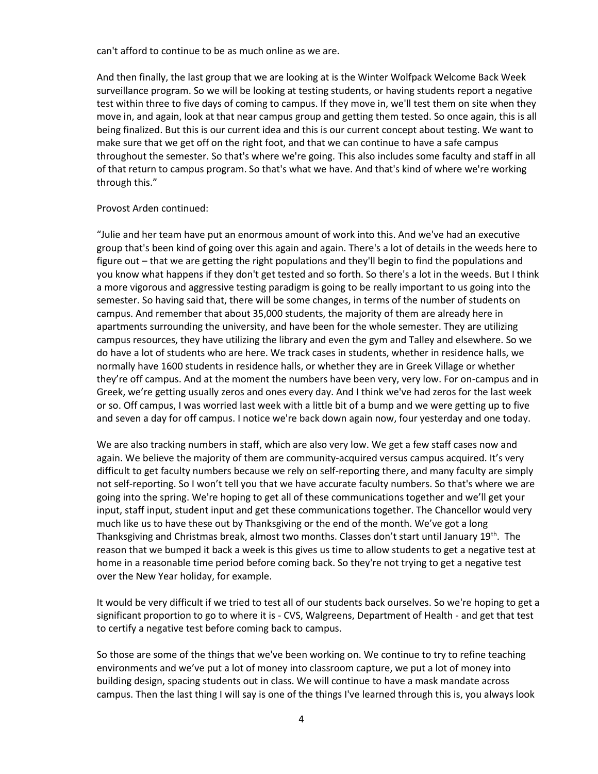can't afford to continue to be as much online as we are.

And then finally, the last group that we are looking at is the Winter Wolfpack Welcome Back Week surveillance program. So we will be looking at testing students, or having students report a negative test within three to five days of coming to campus. If they move in, we'll test them on site when they move in, and again, look at that near campus group and getting them tested. So once again, this is all being finalized. But this is our current idea and this is our current concept about testing. We want to make sure that we get off on the right foot, and that we can continue to have a safe campus throughout the semester. So that's where we're going. This also includes some faculty and staff in all of that return to campus program. So that's what we have. And that's kind of where we're working through this."

#### Provost Arden continued:

"Julie and her team have put an enormous amount of work into this. And we've had an executive group that's been kind of going over this again and again. There's a lot of details in the weeds here to figure out – that we are getting the right populations and they'll begin to find the populations and you know what happens if they don't get tested and so forth. So there's a lot in the weeds. But I think a more vigorous and aggressive testing paradigm is going to be really important to us going into the semester. So having said that, there will be some changes, in terms of the number of students on campus. And remember that about 35,000 students, the majority of them are already here in apartments surrounding the university, and have been for the whole semester. They are utilizing campus resources, they have utilizing the library and even the gym and Talley and elsewhere. So we do have a lot of students who are here. We track cases in students, whether in residence halls, we normally have 1600 students in residence halls, or whether they are in Greek Village or whether they're off campus. And at the moment the numbers have been very, very low. For on-campus and in Greek, we're getting usually zeros and ones every day. And I think we've had zeros for the last week or so. Off campus, I was worried last week with a little bit of a bump and we were getting up to five and seven a day for off campus. I notice we're back down again now, four yesterday and one today.

We are also tracking numbers in staff, which are also very low. We get a few staff cases now and again. We believe the majority of them are community-acquired versus campus acquired. It's very difficult to get faculty numbers because we rely on self-reporting there, and many faculty are simply not self-reporting. So I won't tell you that we have accurate faculty numbers. So that's where we are going into the spring. We're hoping to get all of these communications together and we'll get your input, staff input, student input and get these communications together. The Chancellor would very much like us to have these out by Thanksgiving or the end of the month. We've got a long Thanksgiving and Christmas break, almost two months. Classes don't start until January 19<sup>th</sup>. The reason that we bumped it back a week is this gives us time to allow students to get a negative test at home in a reasonable time period before coming back. So they're not trying to get a negative test over the New Year holiday, for example.

It would be very difficult if we tried to test all of our students back ourselves. So we're hoping to get a significant proportion to go to where it is - CVS, Walgreens, Department of Health - and get that test to certify a negative test before coming back to campus.

So those are some of the things that we've been working on. We continue to try to refine teaching environments and we've put a lot of money into classroom capture, we put a lot of money into building design, spacing students out in class. We will continue to have a mask mandate across campus. Then the last thing I will say is one of the things I've learned through this is, you always look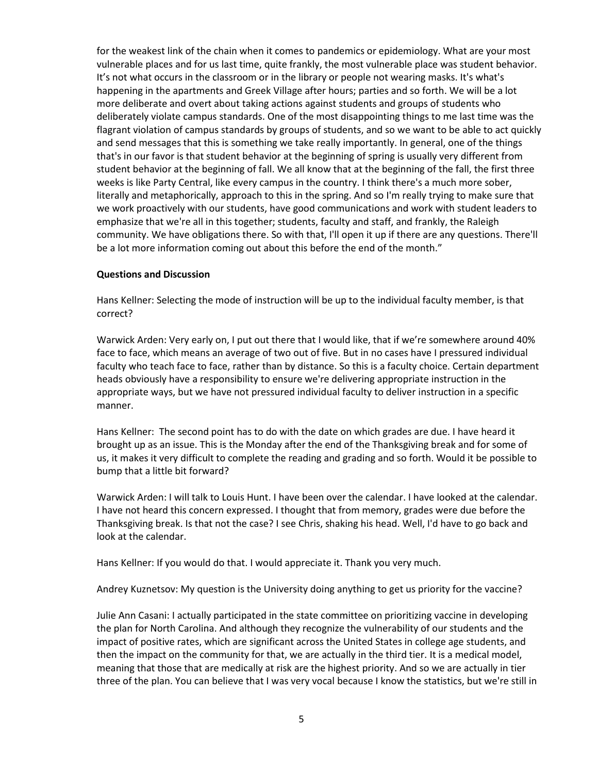for the weakest link of the chain when it comes to pandemics or epidemiology. What are your most vulnerable places and for us last time, quite frankly, the most vulnerable place was student behavior. It's not what occurs in the classroom or in the library or people not wearing masks. It's what's happening in the apartments and Greek Village after hours; parties and so forth. We will be a lot more deliberate and overt about taking actions against students and groups of students who deliberately violate campus standards. One of the most disappointing things to me last time was the flagrant violation of campus standards by groups of students, and so we want to be able to act quickly and send messages that this is something we take really importantly. In general, one of the things that's in our favor is that student behavior at the beginning of spring is usually very different from student behavior at the beginning of fall. We all know that at the beginning of the fall, the first three weeks is like Party Central, like every campus in the country. I think there's a much more sober, literally and metaphorically, approach to this in the spring. And so I'm really trying to make sure that we work proactively with our students, have good communications and work with student leaders to emphasize that we're all in this together; students, faculty and staff, and frankly, the Raleigh community. We have obligations there. So with that, I'll open it up if there are any questions. There'll be a lot more information coming out about this before the end of the month."

### **Questions and Discussion**

Hans Kellner: Selecting the mode of instruction will be up to the individual faculty member, is that correct?

Warwick Arden: Very early on, I put out there that I would like, that if we're somewhere around 40% face to face, which means an average of two out of five. But in no cases have I pressured individual faculty who teach face to face, rather than by distance. So this is a faculty choice. Certain department heads obviously have a responsibility to ensure we're delivering appropriate instruction in the appropriate ways, but we have not pressured individual faculty to deliver instruction in a specific manner.

Hans Kellner: The second point has to do with the date on which grades are due. I have heard it brought up as an issue. This is the Monday after the end of the Thanksgiving break and for some of us, it makes it very difficult to complete the reading and grading and so forth. Would it be possible to bump that a little bit forward?

Warwick Arden: I will talk to Louis Hunt. I have been over the calendar. I have looked at the calendar. I have not heard this concern expressed. I thought that from memory, grades were due before the Thanksgiving break. Is that not the case? I see Chris, shaking his head. Well, I'd have to go back and look at the calendar.

Hans Kellner: If you would do that. I would appreciate it. Thank you very much.

Andrey Kuznetsov: My question is the University doing anything to get us priority for the vaccine?

Julie Ann Casani: I actually participated in the state committee on prioritizing vaccine in developing the plan for North Carolina. And although they recognize the vulnerability of our students and the impact of positive rates, which are significant across the United States in college age students, and then the impact on the community for that, we are actually in the third tier. It is a medical model, meaning that those that are medically at risk are the highest priority. And so we are actually in tier three of the plan. You can believe that I was very vocal because I know the statistics, but we're still in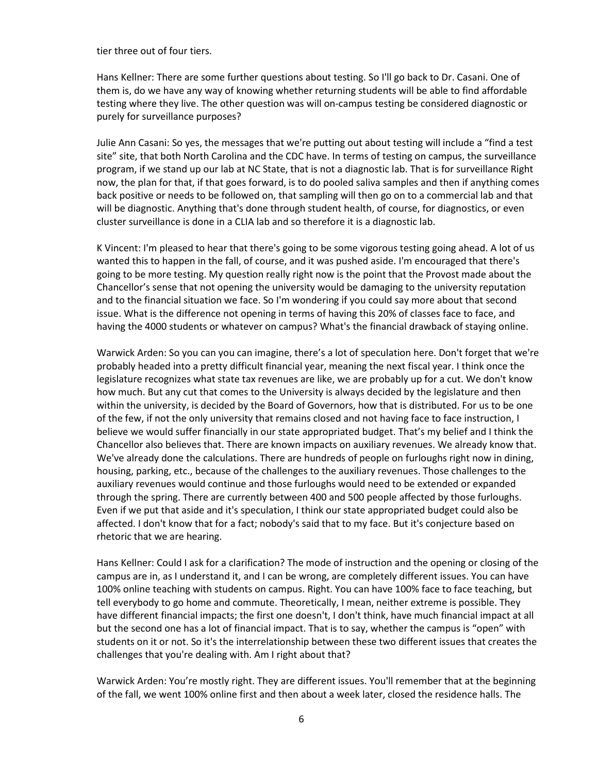tier three out of four tiers.

Hans Kellner: There are some further questions about testing. So I'll go back to Dr. Casani. One of them is, do we have any way of knowing whether returning students will be able to find affordable testing where they live. The other question was will on-campus testing be considered diagnostic or purely for surveillance purposes?

Julie Ann Casani: So yes, the messages that we're putting out about testing will include a "find a test site" site, that both North Carolina and the CDC have. In terms of testing on campus, the surveillance program, if we stand up our lab at NC State, that is not a diagnostic lab. That is for surveillance Right now, the plan for that, if that goes forward, is to do pooled saliva samples and then if anything comes back positive or needs to be followed on, that sampling will then go on to a commercial lab and that will be diagnostic. Anything that's done through student health, of course, for diagnostics, or even cluster surveillance is done in a CLIA lab and so therefore it is a diagnostic lab.

K Vincent: I'm pleased to hear that there's going to be some vigorous testing going ahead. A lot of us wanted this to happen in the fall, of course, and it was pushed aside. I'm encouraged that there's going to be more testing. My question really right now is the point that the Provost made about the Chancellor's sense that not opening the university would be damaging to the university reputation and to the financial situation we face. So I'm wondering if you could say more about that second issue. What is the difference not opening in terms of having this 20% of classes face to face, and having the 4000 students or whatever on campus? What's the financial drawback of staying online.

Warwick Arden: So you can you can imagine, there's a lot of speculation here. Don't forget that we're probably headed into a pretty difficult financial year, meaning the next fiscal year. I think once the legislature recognizes what state tax revenues are like, we are probably up for a cut. We don't know how much. But any cut that comes to the University is always decided by the legislature and then within the university, is decided by the Board of Governors, how that is distributed. For us to be one of the few, if not the only university that remains closed and not having face to face instruction, I believe we would suffer financially in our state appropriated budget. That's my belief and I think the Chancellor also believes that. There are known impacts on auxiliary revenues. We already know that. We've already done the calculations. There are hundreds of people on furloughs right now in dining, housing, parking, etc., because of the challenges to the auxiliary revenues. Those challenges to the auxiliary revenues would continue and those furloughs would need to be extended or expanded through the spring. There are currently between 400 and 500 people affected by those furloughs. Even if we put that aside and it's speculation, I think our state appropriated budget could also be affected. I don't know that for a fact; nobody's said that to my face. But it's conjecture based on rhetoric that we are hearing.

Hans Kellner: Could I ask for a clarification? The mode of instruction and the opening or closing of the campus are in, as I understand it, and I can be wrong, are completely different issues. You can have 100% online teaching with students on campus. Right. You can have 100% face to face teaching, but tell everybody to go home and commute. Theoretically, I mean, neither extreme is possible. They have different financial impacts; the first one doesn't, I don't think, have much financial impact at all but the second one has a lot of financial impact. That is to say, whether the campus is "open" with students on it or not. So it's the interrelationship between these two different issues that creates the challenges that you're dealing with. Am I right about that?

Warwick Arden: You're mostly right. They are different issues. You'll remember that at the beginning of the fall, we went 100% online first and then about a week later, closed the residence halls. The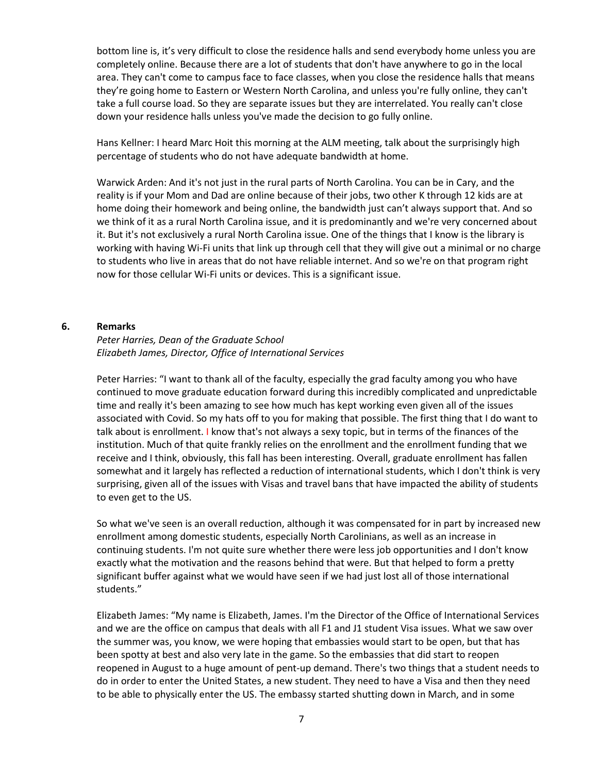bottom line is, it's very difficult to close the residence halls and send everybody home unless you are completely online. Because there are a lot of students that don't have anywhere to go in the local area. They can't come to campus face to face classes, when you close the residence halls that means they're going home to Eastern or Western North Carolina, and unless you're fully online, they can't take a full course load. So they are separate issues but they are interrelated. You really can't close down your residence halls unless you've made the decision to go fully online.

Hans Kellner: I heard Marc Hoit this morning at the ALM meeting, talk about the surprisingly high percentage of students who do not have adequate bandwidth at home.

Warwick Arden: And it's not just in the rural parts of North Carolina. You can be in Cary, and the reality is if your Mom and Dad are online because of their jobs, two other K through 12 kids are at home doing their homework and being online, the bandwidth just can't always support that. And so we think of it as a rural North Carolina issue, and it is predominantly and we're very concerned about it. But it's not exclusively a rural North Carolina issue. One of the things that I know is the library is working with having Wi-Fi units that link up through cell that they will give out a minimal or no charge to students who live in areas that do not have reliable internet. And so we're on that program right now for those cellular Wi-Fi units or devices. This is a significant issue.

#### **6. Remarks**

# *Peter Harries, Dean of the Graduate School Elizabeth James, Director, Office of International Services*

Peter Harries: "I want to thank all of the faculty, especially the grad faculty among you who have continued to move graduate education forward during this incredibly complicated and unpredictable time and really it's been amazing to see how much has kept working even given all of the issues associated with Covid. So my hats off to you for making that possible. The first thing that I do want to talk about is enrollment. I know that's not always a sexy topic, but in terms of the finances of the institution. Much of that quite frankly relies on the enrollment and the enrollment funding that we receive and I think, obviously, this fall has been interesting. Overall, graduate enrollment has fallen somewhat and it largely has reflected a reduction of international students, which I don't think is very surprising, given all of the issues with Visas and travel bans that have impacted the ability of students to even get to the US.

So what we've seen is an overall reduction, although it was compensated for in part by increased new enrollment among domestic students, especially North Carolinians, as well as an increase in continuing students. I'm not quite sure whether there were less job opportunities and I don't know exactly what the motivation and the reasons behind that were. But that helped to form a pretty significant buffer against what we would have seen if we had just lost all of those international students."

Elizabeth James: "My name is Elizabeth, James. I'm the Director of the Office of International Services and we are the office on campus that deals with all F1 and J1 student Visa issues. What we saw over the summer was, you know, we were hoping that embassies would start to be open, but that has been spotty at best and also very late in the game. So the embassies that did start to reopen reopened in August to a huge amount of pent-up demand. There's two things that a student needs to do in order to enter the United States, a new student. They need to have a Visa and then they need to be able to physically enter the US. The embassy started shutting down in March, and in some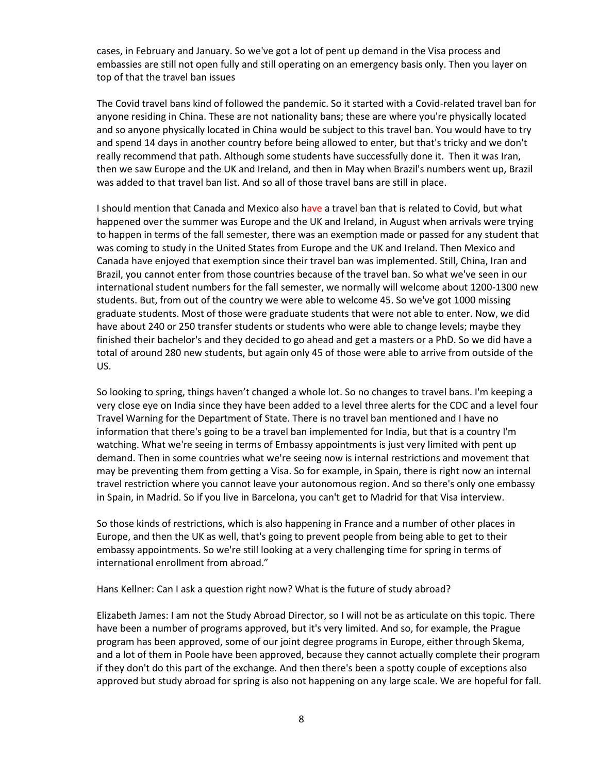cases, in February and January. So we've got a lot of pent up demand in the Visa process and embassies are still not open fully and still operating on an emergency basis only. Then you layer on top of that the travel ban issues

The Covid travel bans kind of followed the pandemic. So it started with a Covid-related travel ban for anyone residing in China. These are not nationality bans; these are where you're physically located and so anyone physically located in China would be subject to this travel ban. You would have to try and spend 14 days in another country before being allowed to enter, but that's tricky and we don't really recommend that path. Although some students have successfully done it. Then it was Iran, then we saw Europe and the UK and Ireland, and then in May when Brazil's numbers went up, Brazil was added to that travel ban list. And so all of those travel bans are still in place.

I should mention that Canada and Mexico also have a travel ban that is related to Covid, but what happened over the summer was Europe and the UK and Ireland, in August when arrivals were trying to happen in terms of the fall semester, there was an exemption made or passed for any student that was coming to study in the United States from Europe and the UK and Ireland. Then Mexico and Canada have enjoyed that exemption since their travel ban was implemented. Still, China, Iran and Brazil, you cannot enter from those countries because of the travel ban. So what we've seen in our international student numbers for the fall semester, we normally will welcome about 1200-1300 new students. But, from out of the country we were able to welcome 45. So we've got 1000 missing graduate students. Most of those were graduate students that were not able to enter. Now, we did have about 240 or 250 transfer students or students who were able to change levels; maybe they finished their bachelor's and they decided to go ahead and get a masters or a PhD. So we did have a total of around 280 new students, but again only 45 of those were able to arrive from outside of the US.

So looking to spring, things haven't changed a whole lot. So no changes to travel bans. I'm keeping a very close eye on India since they have been added to a level three alerts for the CDC and a level four Travel Warning for the Department of State. There is no travel ban mentioned and I have no information that there's going to be a travel ban implemented for India, but that is a country I'm watching. What we're seeing in terms of Embassy appointments is just very limited with pent up demand. Then in some countries what we're seeing now is internal restrictions and movement that may be preventing them from getting a Visa. So for example, in Spain, there is right now an internal travel restriction where you cannot leave your autonomous region. And so there's only one embassy in Spain, in Madrid. So if you live in Barcelona, you can't get to Madrid for that Visa interview.

So those kinds of restrictions, which is also happening in France and a number of other places in Europe, and then the UK as well, that's going to prevent people from being able to get to their embassy appointments. So we're still looking at a very challenging time for spring in terms of international enrollment from abroad."

#### Hans Kellner: Can I ask a question right now? What is the future of study abroad?

Elizabeth James: I am not the Study Abroad Director, so I will not be as articulate on this topic. There have been a number of programs approved, but it's very limited. And so, for example, the Prague program has been approved, some of our joint degree programs in Europe, either through Skema, and a lot of them in Poole have been approved, because they cannot actually complete their program if they don't do this part of the exchange. And then there's been a spotty couple of exceptions also approved but study abroad for spring is also not happening on any large scale. We are hopeful for fall.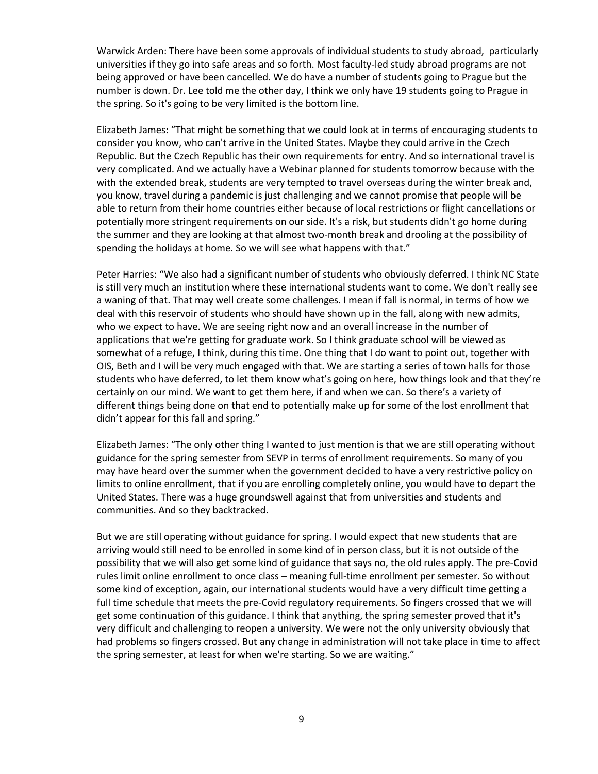Warwick Arden: There have been some approvals of individual students to study abroad, particularly universities if they go into safe areas and so forth. Most faculty-led study abroad programs are not being approved or have been cancelled. We do have a number of students going to Prague but the number is down. Dr. Lee told me the other day, I think we only have 19 students going to Prague in the spring. So it's going to be very limited is the bottom line.

Elizabeth James: "That might be something that we could look at in terms of encouraging students to consider you know, who can't arrive in the United States. Maybe they could arrive in the Czech Republic. But the Czech Republic has their own requirements for entry. And so international travel is very complicated. And we actually have a Webinar planned for students tomorrow because with the with the extended break, students are very tempted to travel overseas during the winter break and, you know, travel during a pandemic is just challenging and we cannot promise that people will be able to return from their home countries either because of local restrictions or flight cancellations or potentially more stringent requirements on our side. It's a risk, but students didn't go home during the summer and they are looking at that almost two-month break and drooling at the possibility of spending the holidays at home. So we will see what happens with that."

Peter Harries: "We also had a significant number of students who obviously deferred. I think NC State is still very much an institution where these international students want to come. We don't really see a waning of that. That may well create some challenges. I mean if fall is normal, in terms of how we deal with this reservoir of students who should have shown up in the fall, along with new admits, who we expect to have. We are seeing right now and an overall increase in the number of applications that we're getting for graduate work. So I think graduate school will be viewed as somewhat of a refuge, I think, during this time. One thing that I do want to point out, together with OIS, Beth and I will be very much engaged with that. We are starting a series of town halls for those students who have deferred, to let them know what's going on here, how things look and that they're certainly on our mind. We want to get them here, if and when we can. So there's a variety of different things being done on that end to potentially make up for some of the lost enrollment that didn't appear for this fall and spring."

Elizabeth James: "The only other thing I wanted to just mention is that we are still operating without guidance for the spring semester from SEVP in terms of enrollment requirements. So many of you may have heard over the summer when the government decided to have a very restrictive policy on limits to online enrollment, that if you are enrolling completely online, you would have to depart the United States. There was a huge groundswell against that from universities and students and communities. And so they backtracked.

But we are still operating without guidance for spring. I would expect that new students that are arriving would still need to be enrolled in some kind of in person class, but it is not outside of the possibility that we will also get some kind of guidance that says no, the old rules apply. The pre-Covid rules limit online enrollment to once class – meaning full-time enrollment per semester. So without some kind of exception, again, our international students would have a very difficult time getting a full time schedule that meets the pre-Covid regulatory requirements. So fingers crossed that we will get some continuation of this guidance. I think that anything, the spring semester proved that it's very difficult and challenging to reopen a university. We were not the only university obviously that had problems so fingers crossed. But any change in administration will not take place in time to affect the spring semester, at least for when we're starting. So we are waiting."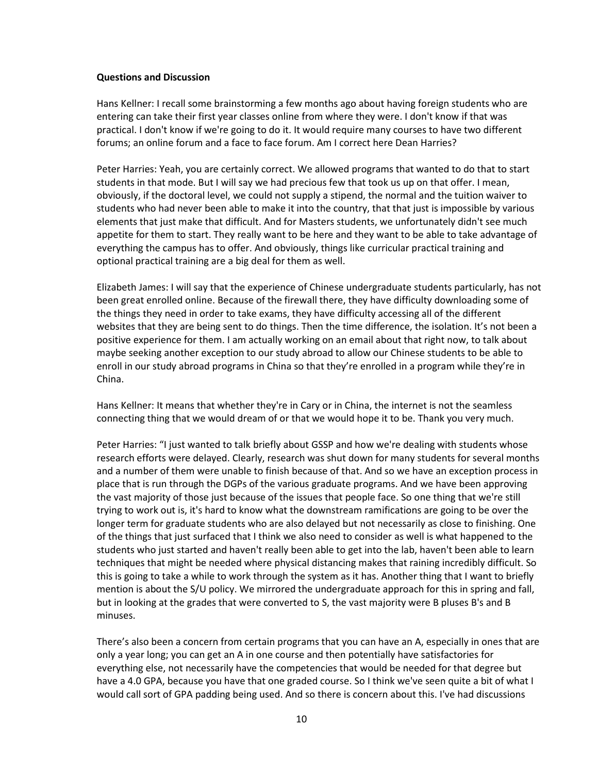#### **Questions and Discussion**

Hans Kellner: I recall some brainstorming a few months ago about having foreign students who are entering can take their first year classes online from where they were. I don't know if that was practical. I don't know if we're going to do it. It would require many courses to have two different forums; an online forum and a face to face forum. Am I correct here Dean Harries?

Peter Harries: Yeah, you are certainly correct. We allowed programs that wanted to do that to start students in that mode. But I will say we had precious few that took us up on that offer. I mean, obviously, if the doctoral level, we could not supply a stipend, the normal and the tuition waiver to students who had never been able to make it into the country, that that just is impossible by various elements that just make that difficult. And for Masters students, we unfortunately didn't see much appetite for them to start. They really want to be here and they want to be able to take advantage of everything the campus has to offer. And obviously, things like curricular practical training and optional practical training are a big deal for them as well.

Elizabeth James: I will say that the experience of Chinese undergraduate students particularly, has not been great enrolled online. Because of the firewall there, they have difficulty downloading some of the things they need in order to take exams, they have difficulty accessing all of the different websites that they are being sent to do things. Then the time difference, the isolation. It's not been a positive experience for them. I am actually working on an email about that right now, to talk about maybe seeking another exception to our study abroad to allow our Chinese students to be able to enroll in our study abroad programs in China so that they're enrolled in a program while they're in China.

Hans Kellner: It means that whether they're in Cary or in China, the internet is not the seamless connecting thing that we would dream of or that we would hope it to be. Thank you very much.

Peter Harries: "I just wanted to talk briefly about GSSP and how we're dealing with students whose research efforts were delayed. Clearly, research was shut down for many students for several months and a number of them were unable to finish because of that. And so we have an exception process in place that is run through the DGPs of the various graduate programs. And we have been approving the vast majority of those just because of the issues that people face. So one thing that we're still trying to work out is, it's hard to know what the downstream ramifications are going to be over the longer term for graduate students who are also delayed but not necessarily as close to finishing. One of the things that just surfaced that I think we also need to consider as well is what happened to the students who just started and haven't really been able to get into the lab, haven't been able to learn techniques that might be needed where physical distancing makes that raining incredibly difficult. So this is going to take a while to work through the system as it has. Another thing that I want to briefly mention is about the S/U policy. We mirrored the undergraduate approach for this in spring and fall, but in looking at the grades that were converted to S, the vast majority were B pluses B's and B minuses.

There's also been a concern from certain programs that you can have an A, especially in ones that are only a year long; you can get an A in one course and then potentially have satisfactories for everything else, not necessarily have the competencies that would be needed for that degree but have a 4.0 GPA, because you have that one graded course. So I think we've seen quite a bit of what I would call sort of GPA padding being used. And so there is concern about this. I've had discussions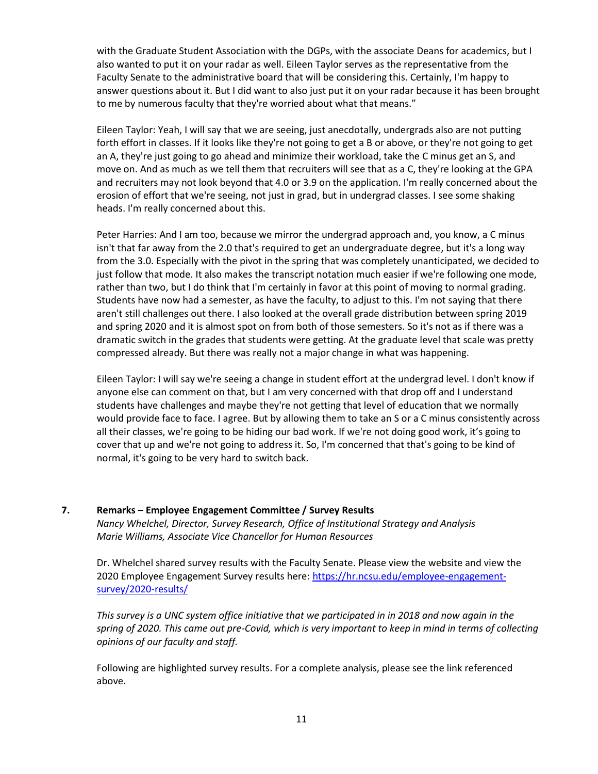with the Graduate Student Association with the DGPs, with the associate Deans for academics, but I also wanted to put it on your radar as well. Eileen Taylor serves as the representative from the Faculty Senate to the administrative board that will be considering this. Certainly, I'm happy to answer questions about it. But I did want to also just put it on your radar because it has been brought to me by numerous faculty that they're worried about what that means."

Eileen Taylor: Yeah, I will say that we are seeing, just anecdotally, undergrads also are not putting forth effort in classes. If it looks like they're not going to get a B or above, or they're not going to get an A, they're just going to go ahead and minimize their workload, take the C minus get an S, and move on. And as much as we tell them that recruiters will see that as a C, they're looking at the GPA and recruiters may not look beyond that 4.0 or 3.9 on the application. I'm really concerned about the erosion of effort that we're seeing, not just in grad, but in undergrad classes. I see some shaking heads. I'm really concerned about this.

Peter Harries: And I am too, because we mirror the undergrad approach and, you know, a C minus isn't that far away from the 2.0 that's required to get an undergraduate degree, but it's a long way from the 3.0. Especially with the pivot in the spring that was completely unanticipated, we decided to just follow that mode. It also makes the transcript notation much easier if we're following one mode, rather than two, but I do think that I'm certainly in favor at this point of moving to normal grading. Students have now had a semester, as have the faculty, to adjust to this. I'm not saying that there aren't still challenges out there. I also looked at the overall grade distribution between spring 2019 and spring 2020 and it is almost spot on from both of those semesters. So it's not as if there was a dramatic switch in the grades that students were getting. At the graduate level that scale was pretty compressed already. But there was really not a major change in what was happening.

Eileen Taylor: I will say we're seeing a change in student effort at the undergrad level. I don't know if anyone else can comment on that, but I am very concerned with that drop off and I understand students have challenges and maybe they're not getting that level of education that we normally would provide face to face. I agree. But by allowing them to take an S or a C minus consistently across all their classes, we're going to be hiding our bad work. If we're not doing good work, it's going to cover that up and we're not going to address it. So, I'm concerned that that's going to be kind of normal, it's going to be very hard to switch back.

**7. Remarks – Employee Engagement Committee / Survey Results** *Nancy Whelchel, Director, Survey Research, Office of Institutional Strategy and Analysis Marie Williams, Associate Vice Chancellor for Human Resources*

Dr. Whelchel shared survey results with the Faculty Senate. Please view the website and view the 2020 Employee Engagement Survey results here: [https://hr.ncsu.edu/employee-engagement](https://hr.ncsu.edu/employee-engagement-survey/2020-results/)[survey/2020-results/](https://hr.ncsu.edu/employee-engagement-survey/2020-results/)

*This survey is a UNC system office initiative that we participated in in 2018 and now again in the spring of 2020. This came out pre-Covid, which is very important to keep in mind in terms of collecting opinions of our faculty and staff.* 

Following are highlighted survey results. For a complete analysis, please see the link referenced above.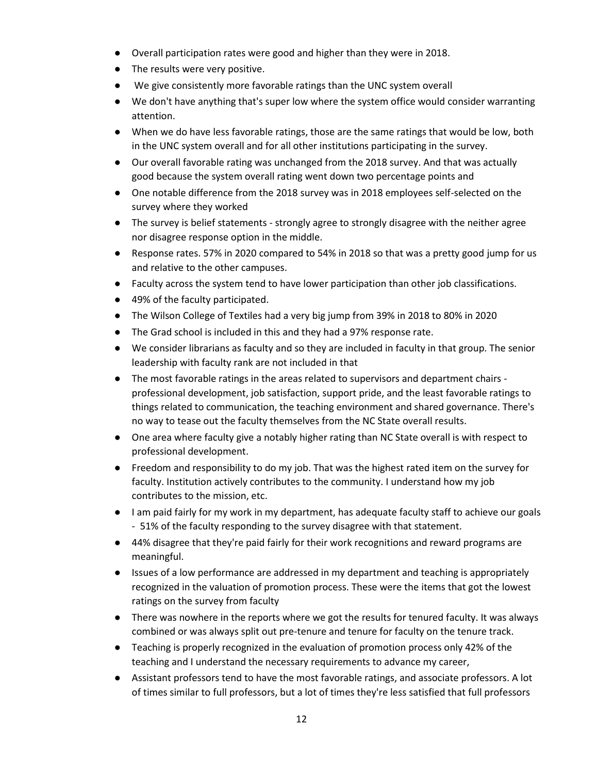- Overall participation rates were good and higher than they were in 2018.
- The results were very positive.
- We give consistently more favorable ratings than the UNC system overall
- We don't have anything that's super low where the system office would consider warranting attention.
- When we do have less favorable ratings, those are the same ratings that would be low, both in the UNC system overall and for all other institutions participating in the survey.
- Our overall favorable rating was unchanged from the 2018 survey. And that was actually good because the system overall rating went down two percentage points and
- One notable difference from the 2018 survey was in 2018 employees self-selected on the survey where they worked
- The survey is belief statements strongly agree to strongly disagree with the neither agree nor disagree response option in the middle.
- Response rates. 57% in 2020 compared to 54% in 2018 so that was a pretty good jump for us and relative to the other campuses.
- Faculty across the system tend to have lower participation than other job classifications.
- 49% of the faculty participated.
- The Wilson College of Textiles had a very big jump from 39% in 2018 to 80% in 2020
- The Grad school is included in this and they had a 97% response rate.
- We consider librarians as faculty and so they are included in faculty in that group. The senior leadership with faculty rank are not included in that
- The most favorable ratings in the areas related to supervisors and department chairs professional development, job satisfaction, support pride, and the least favorable ratings to things related to communication, the teaching environment and shared governance. There's no way to tease out the faculty themselves from the NC State overall results.
- One area where faculty give a notably higher rating than NC State overall is with respect to professional development.
- Freedom and responsibility to do my job. That was the highest rated item on the survey for faculty. Institution actively contributes to the community. I understand how my job contributes to the mission, etc.
- I am paid fairly for my work in my department, has adequate faculty staff to achieve our goals - 51% of the faculty responding to the survey disagree with that statement.
- 44% disagree that they're paid fairly for their work recognitions and reward programs are meaningful.
- Issues of a low performance are addressed in my department and teaching is appropriately recognized in the valuation of promotion process. These were the items that got the lowest ratings on the survey from faculty
- There was nowhere in the reports where we got the results for tenured faculty. It was always combined or was always split out pre-tenure and tenure for faculty on the tenure track.
- Teaching is properly recognized in the evaluation of promotion process only 42% of the teaching and I understand the necessary requirements to advance my career,
- Assistant professors tend to have the most favorable ratings, and associate professors. A lot of times similar to full professors, but a lot of times they're less satisfied that full professors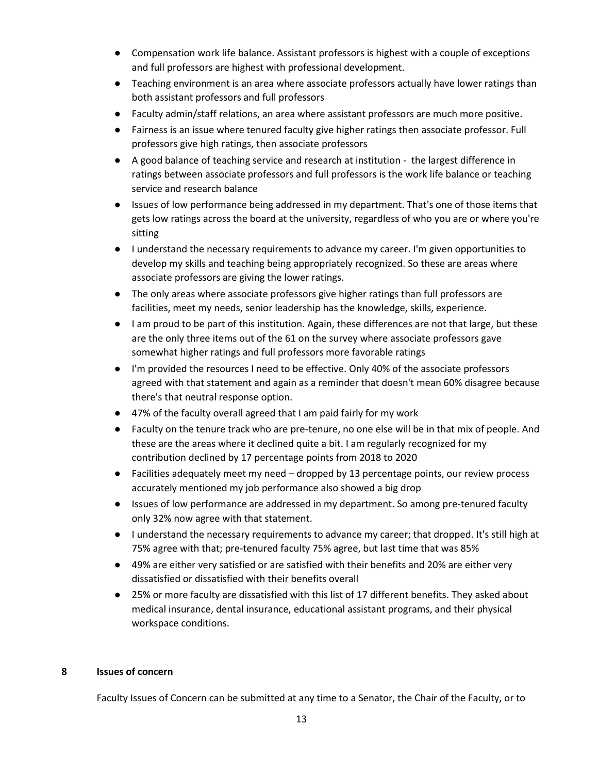- Compensation work life balance. Assistant professors is highest with a couple of exceptions and full professors are highest with professional development.
- Teaching environment is an area where associate professors actually have lower ratings than both assistant professors and full professors
- Faculty admin/staff relations, an area where assistant professors are much more positive.
- Fairness is an issue where tenured faculty give higher ratings then associate professor. Full professors give high ratings, then associate professors
- A good balance of teaching service and research at institution the largest difference in ratings between associate professors and full professors is the work life balance or teaching service and research balance
- Issues of low performance being addressed in my department. That's one of those items that gets low ratings across the board at the university, regardless of who you are or where you're sitting
- I understand the necessary requirements to advance my career. I'm given opportunities to develop my skills and teaching being appropriately recognized. So these are areas where associate professors are giving the lower ratings.
- The only areas where associate professors give higher ratings than full professors are facilities, meet my needs, senior leadership has the knowledge, skills, experience.
- I am proud to be part of this institution. Again, these differences are not that large, but these are the only three items out of the 61 on the survey where associate professors gave somewhat higher ratings and full professors more favorable ratings
- I'm provided the resources I need to be effective. Only 40% of the associate professors agreed with that statement and again as a reminder that doesn't mean 60% disagree because there's that neutral response option.
- 47% of the faculty overall agreed that I am paid fairly for my work
- Faculty on the tenure track who are pre-tenure, no one else will be in that mix of people. And these are the areas where it declined quite a bit. I am regularly recognized for my contribution declined by 17 percentage points from 2018 to 2020
- Facilities adequately meet my need dropped by 13 percentage points, our review process accurately mentioned my job performance also showed a big drop
- Issues of low performance are addressed in my department. So among pre-tenured faculty only 32% now agree with that statement.
- I understand the necessary requirements to advance my career; that dropped. It's still high at 75% agree with that; pre-tenured faculty 75% agree, but last time that was 85%
- 49% are either very satisfied or are satisfied with their benefits and 20% are either very dissatisfied or dissatisfied with their benefits overall
- 25% or more faculty are dissatisfied with this list of 17 different benefits. They asked about medical insurance, dental insurance, educational assistant programs, and their physical workspace conditions.

# **8 Issues of concern**

Faculty Issues of Concern can be submitted at any time to a Senator, the Chair of the Faculty, or to